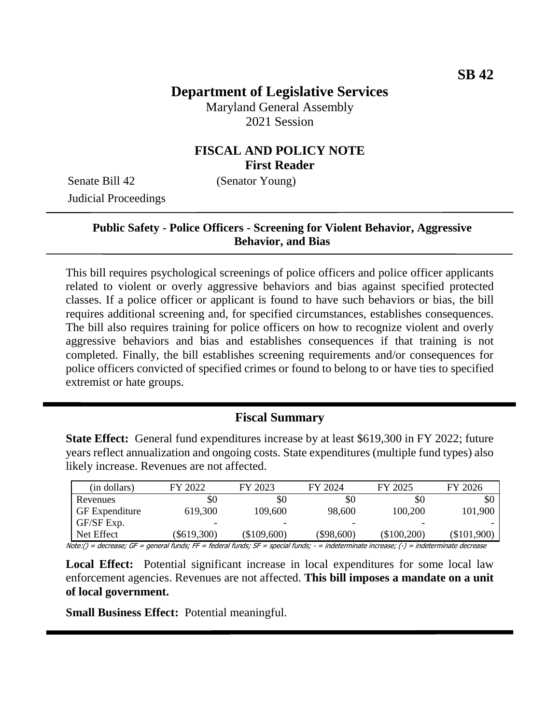# **Department of Legislative Services**

Maryland General Assembly 2021 Session

# **FISCAL AND POLICY NOTE First Reader**

Senate Bill 42 (Senator Young) Judicial Proceedings

#### **Public Safety - Police Officers - Screening for Violent Behavior, Aggressive Behavior, and Bias**

This bill requires psychological screenings of police officers and police officer applicants related to violent or overly aggressive behaviors and bias against specified protected classes. If a police officer or applicant is found to have such behaviors or bias, the bill requires additional screening and, for specified circumstances, establishes consequences. The bill also requires training for police officers on how to recognize violent and overly aggressive behaviors and bias and establishes consequences if that training is not completed. Finally, the bill establishes screening requirements and/or consequences for police officers convicted of specified crimes or found to belong to or have ties to specified extremist or hate groups.

## **Fiscal Summary**

**State Effect:** General fund expenditures increase by at least \$619,300 in FY 2022; future years reflect annualization and ongoing costs. State expenditures (multiple fund types) also likely increase. Revenues are not affected.

| (in dollars)          | FY 2022                  | FY 2023     | FY 2024      | FY 2025       | FY 2026       |
|-----------------------|--------------------------|-------------|--------------|---------------|---------------|
| Revenues              | \$0                      | \$0         | \$0          | \$0           | \$0           |
| <b>GF</b> Expenditure | 619,300                  | 109.600     | 98,600       | 100,200       | 101,900       |
| GF/SF Exp.            | $\overline{\phantom{0}}$ |             |              |               |               |
| Net Effect            | $(\$619,300)$            | (\$109,600) | $(\$98,600)$ | $(\$100,200)$ | $(\$101,900)$ |

Note:() = decrease; GF = general funds; FF = federal funds; SF = special funds; - = indeterminate increase; (-) = indeterminate decrease

Local Effect: Potential significant increase in local expenditures for some local law enforcement agencies. Revenues are not affected. **This bill imposes a mandate on a unit of local government.**

**Small Business Effect:** Potential meaningful.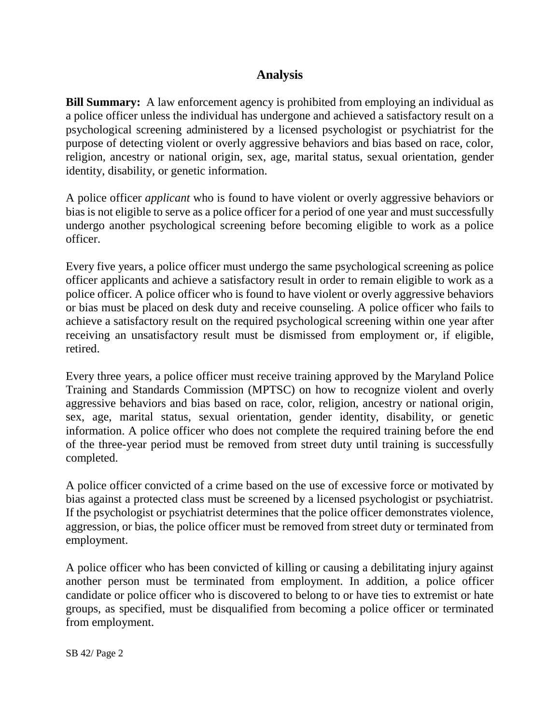# **Analysis**

**Bill Summary:** A law enforcement agency is prohibited from employing an individual as a police officer unless the individual has undergone and achieved a satisfactory result on a psychological screening administered by a licensed psychologist or psychiatrist for the purpose of detecting violent or overly aggressive behaviors and bias based on race, color, religion, ancestry or national origin, sex, age, marital status, sexual orientation, gender identity, disability, or genetic information.

A police officer *applicant* who is found to have violent or overly aggressive behaviors or bias is not eligible to serve as a police officer for a period of one year and must successfully undergo another psychological screening before becoming eligible to work as a police officer.

Every five years, a police officer must undergo the same psychological screening as police officer applicants and achieve a satisfactory result in order to remain eligible to work as a police officer. A police officer who is found to have violent or overly aggressive behaviors or bias must be placed on desk duty and receive counseling. A police officer who fails to achieve a satisfactory result on the required psychological screening within one year after receiving an unsatisfactory result must be dismissed from employment or, if eligible, retired.

Every three years, a police officer must receive training approved by the Maryland Police Training and Standards Commission (MPTSC) on how to recognize violent and overly aggressive behaviors and bias based on race, color, religion, ancestry or national origin, sex, age, marital status, sexual orientation, gender identity, disability, or genetic information. A police officer who does not complete the required training before the end of the three-year period must be removed from street duty until training is successfully completed.

A police officer convicted of a crime based on the use of excessive force or motivated by bias against a protected class must be screened by a licensed psychologist or psychiatrist. If the psychologist or psychiatrist determines that the police officer demonstrates violence, aggression, or bias, the police officer must be removed from street duty or terminated from employment.

A police officer who has been convicted of killing or causing a debilitating injury against another person must be terminated from employment. In addition, a police officer candidate or police officer who is discovered to belong to or have ties to extremist or hate groups, as specified, must be disqualified from becoming a police officer or terminated from employment.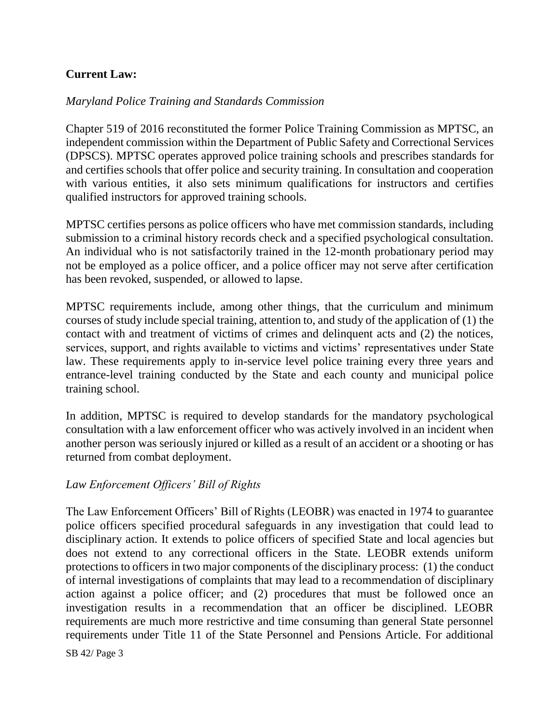# **Current Law:**

#### *Maryland Police Training and Standards Commission*

Chapter 519 of 2016 reconstituted the former Police Training Commission as MPTSC, an independent commission within the Department of Public Safety and Correctional Services (DPSCS). MPTSC operates approved police training schools and prescribes standards for and certifies schools that offer police and security training. In consultation and cooperation with various entities, it also sets minimum qualifications for instructors and certifies qualified instructors for approved training schools.

MPTSC certifies persons as police officers who have met commission standards, including submission to a criminal history records check and a specified psychological consultation. An individual who is not satisfactorily trained in the 12-month probationary period may not be employed as a police officer, and a police officer may not serve after certification has been revoked, suspended, or allowed to lapse.

MPTSC requirements include, among other things, that the curriculum and minimum courses of study include special training, attention to, and study of the application of (1) the contact with and treatment of victims of crimes and delinquent acts and (2) the notices, services, support, and rights available to victims and victims' representatives under State law. These requirements apply to in-service level police training every three years and entrance-level training conducted by the State and each county and municipal police training school.

In addition, MPTSC is required to develop standards for the mandatory psychological consultation with a law enforcement officer who was actively involved in an incident when another person was seriously injured or killed as a result of an accident or a shooting or has returned from combat deployment.

## *Law Enforcement Officers' Bill of Rights*

The Law Enforcement Officers' Bill of Rights (LEOBR) was enacted in 1974 to guarantee police officers specified procedural safeguards in any investigation that could lead to disciplinary action. It extends to police officers of specified State and local agencies but does not extend to any correctional officers in the State. LEOBR extends uniform protections to officers in two major components of the disciplinary process: (1) the conduct of internal investigations of complaints that may lead to a recommendation of disciplinary action against a police officer; and (2) procedures that must be followed once an investigation results in a recommendation that an officer be disciplined. LEOBR requirements are much more restrictive and time consuming than general State personnel requirements under Title 11 of the State Personnel and Pensions Article. For additional

SB 42/ Page 3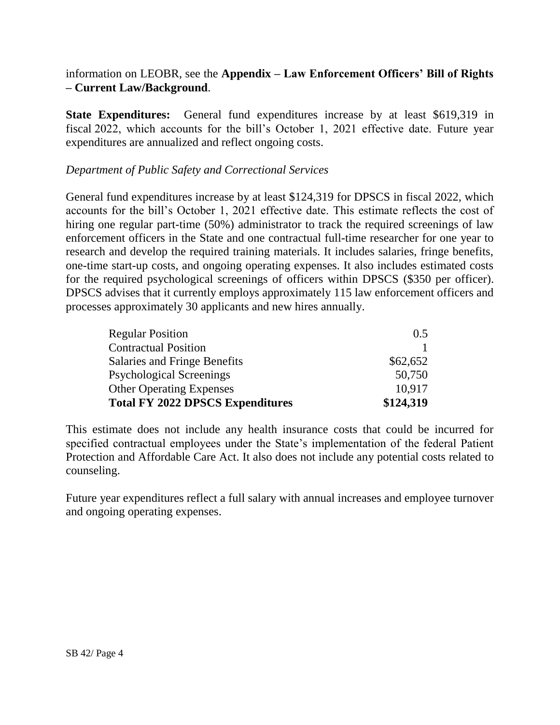# information on LEOBR, see the **Appendix – Law Enforcement Officers' Bill of Rights – Current Law/Background**.

**State Expenditures:** General fund expenditures increase by at least \$619,319 in fiscal 2022, which accounts for the bill's October 1, 2021 effective date. Future year expenditures are annualized and reflect ongoing costs.

## *Department of Public Safety and Correctional Services*

General fund expenditures increase by at least \$124,319 for DPSCS in fiscal 2022, which accounts for the bill's October 1, 2021 effective date. This estimate reflects the cost of hiring one regular part-time (50%) administrator to track the required screenings of law enforcement officers in the State and one contractual full-time researcher for one year to research and develop the required training materials. It includes salaries, fringe benefits, one-time start-up costs, and ongoing operating expenses. It also includes estimated costs for the required psychological screenings of officers within DPSCS (\$350 per officer). DPSCS advises that it currently employs approximately 115 law enforcement officers and processes approximately 30 applicants and new hires annually.

| <b>Regular Position</b>                 | 0.5       |
|-----------------------------------------|-----------|
| <b>Contractual Position</b>             |           |
| Salaries and Fringe Benefits            | \$62,652  |
| <b>Psychological Screenings</b>         | 50,750    |
| <b>Other Operating Expenses</b>         | 10.917    |
| <b>Total FY 2022 DPSCS Expenditures</b> | \$124,319 |

This estimate does not include any health insurance costs that could be incurred for specified contractual employees under the State's implementation of the federal Patient Protection and Affordable Care Act. It also does not include any potential costs related to counseling.

Future year expenditures reflect a full salary with annual increases and employee turnover and ongoing operating expenses.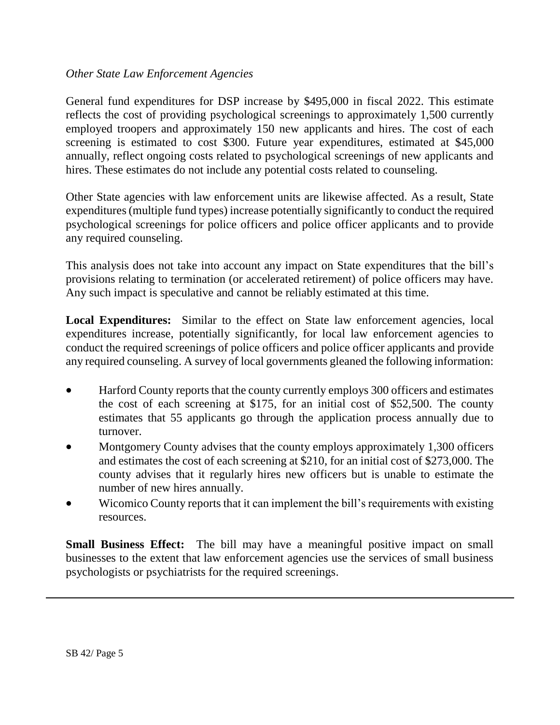#### *Other State Law Enforcement Agencies*

General fund expenditures for DSP increase by \$495,000 in fiscal 2022. This estimate reflects the cost of providing psychological screenings to approximately 1,500 currently employed troopers and approximately 150 new applicants and hires. The cost of each screening is estimated to cost \$300. Future year expenditures, estimated at \$45,000 annually, reflect ongoing costs related to psychological screenings of new applicants and hires. These estimates do not include any potential costs related to counseling.

Other State agencies with law enforcement units are likewise affected. As a result, State expenditures (multiple fund types) increase potentially significantly to conduct the required psychological screenings for police officers and police officer applicants and to provide any required counseling.

This analysis does not take into account any impact on State expenditures that the bill's provisions relating to termination (or accelerated retirement) of police officers may have. Any such impact is speculative and cannot be reliably estimated at this time.

**Local Expenditures:** Similar to the effect on State law enforcement agencies, local expenditures increase, potentially significantly, for local law enforcement agencies to conduct the required screenings of police officers and police officer applicants and provide any required counseling. A survey of local governments gleaned the following information:

- Harford County reports that the county currently employs 300 officers and estimates the cost of each screening at \$175, for an initial cost of \$52,500. The county estimates that 55 applicants go through the application process annually due to turnover.
- Montgomery County advises that the county employs approximately 1,300 officers and estimates the cost of each screening at \$210, for an initial cost of \$273,000. The county advises that it regularly hires new officers but is unable to estimate the number of new hires annually.
- Wicomico County reports that it can implement the bill's requirements with existing resources.

**Small Business Effect:** The bill may have a meaningful positive impact on small businesses to the extent that law enforcement agencies use the services of small business psychologists or psychiatrists for the required screenings.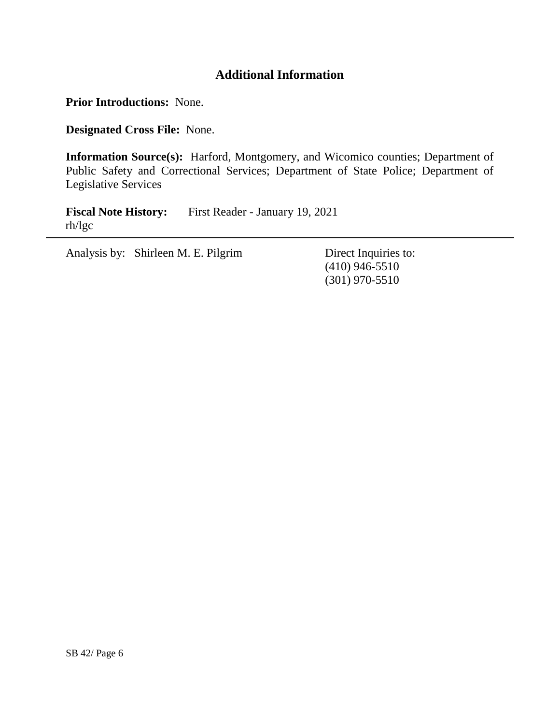# **Additional Information**

**Prior Introductions:** None.

**Designated Cross File:** None.

**Information Source(s):** Harford, Montgomery, and Wicomico counties; Department of Public Safety and Correctional Services; Department of State Police; Department of Legislative Services

**Fiscal Note History:** First Reader - January 19, 2021 rh/lgc

Analysis by: Shirleen M. E. Pilgrim Direct Inquiries to:

(410) 946-5510 (301) 970-5510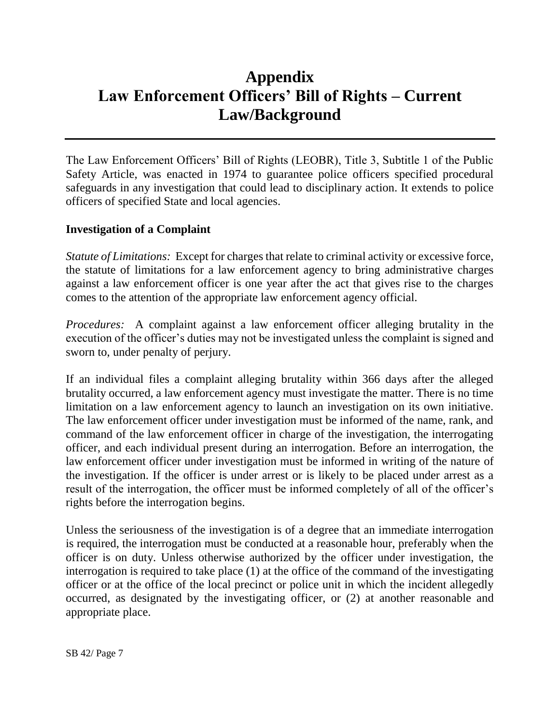# **Appendix Law Enforcement Officers' Bill of Rights – Current Law/Background**

The Law Enforcement Officers' Bill of Rights (LEOBR), Title 3, Subtitle 1 of the Public Safety Article, was enacted in 1974 to guarantee police officers specified procedural safeguards in any investigation that could lead to disciplinary action. It extends to police officers of specified State and local agencies.

# **Investigation of a Complaint**

*Statute of Limitations:* Except for charges that relate to criminal activity or excessive force, the statute of limitations for a law enforcement agency to bring administrative charges against a law enforcement officer is one year after the act that gives rise to the charges comes to the attention of the appropriate law enforcement agency official.

*Procedures:* A complaint against a law enforcement officer alleging brutality in the execution of the officer's duties may not be investigated unless the complaint is signed and sworn to, under penalty of perjury.

If an individual files a complaint alleging brutality within 366 days after the alleged brutality occurred, a law enforcement agency must investigate the matter. There is no time limitation on a law enforcement agency to launch an investigation on its own initiative. The law enforcement officer under investigation must be informed of the name, rank, and command of the law enforcement officer in charge of the investigation, the interrogating officer, and each individual present during an interrogation. Before an interrogation, the law enforcement officer under investigation must be informed in writing of the nature of the investigation. If the officer is under arrest or is likely to be placed under arrest as a result of the interrogation, the officer must be informed completely of all of the officer's rights before the interrogation begins.

Unless the seriousness of the investigation is of a degree that an immediate interrogation is required, the interrogation must be conducted at a reasonable hour, preferably when the officer is on duty. Unless otherwise authorized by the officer under investigation, the interrogation is required to take place (1) at the office of the command of the investigating officer or at the office of the local precinct or police unit in which the incident allegedly occurred, as designated by the investigating officer, or (2) at another reasonable and appropriate place.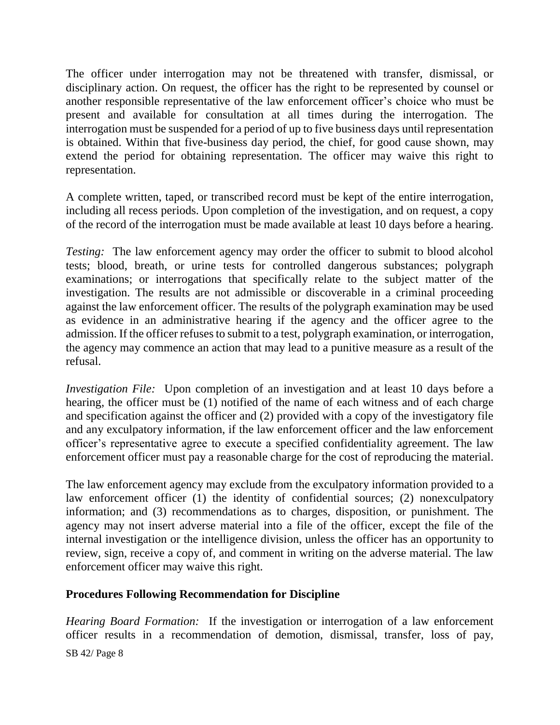The officer under interrogation may not be threatened with transfer, dismissal, or disciplinary action. On request, the officer has the right to be represented by counsel or another responsible representative of the law enforcement officer's choice who must be present and available for consultation at all times during the interrogation. The interrogation must be suspended for a period of up to five business days until representation is obtained. Within that five-business day period, the chief, for good cause shown, may extend the period for obtaining representation. The officer may waive this right to representation.

A complete written, taped, or transcribed record must be kept of the entire interrogation, including all recess periods. Upon completion of the investigation, and on request, a copy of the record of the interrogation must be made available at least 10 days before a hearing.

*Testing:* The law enforcement agency may order the officer to submit to blood alcohol tests; blood, breath, or urine tests for controlled dangerous substances; polygraph examinations; or interrogations that specifically relate to the subject matter of the investigation. The results are not admissible or discoverable in a criminal proceeding against the law enforcement officer. The results of the polygraph examination may be used as evidence in an administrative hearing if the agency and the officer agree to the admission. If the officer refuses to submit to a test, polygraph examination, or interrogation, the agency may commence an action that may lead to a punitive measure as a result of the refusal.

*Investigation File:* Upon completion of an investigation and at least 10 days before a hearing, the officer must be (1) notified of the name of each witness and of each charge and specification against the officer and (2) provided with a copy of the investigatory file and any exculpatory information, if the law enforcement officer and the law enforcement officer's representative agree to execute a specified confidentiality agreement. The law enforcement officer must pay a reasonable charge for the cost of reproducing the material.

The law enforcement agency may exclude from the exculpatory information provided to a law enforcement officer (1) the identity of confidential sources; (2) nonexculpatory information; and (3) recommendations as to charges, disposition, or punishment. The agency may not insert adverse material into a file of the officer, except the file of the internal investigation or the intelligence division, unless the officer has an opportunity to review, sign, receive a copy of, and comment in writing on the adverse material. The law enforcement officer may waive this right.

## **Procedures Following Recommendation for Discipline**

SB 42/ Page 8 *Hearing Board Formation:* If the investigation or interrogation of a law enforcement officer results in a recommendation of demotion, dismissal, transfer, loss of pay,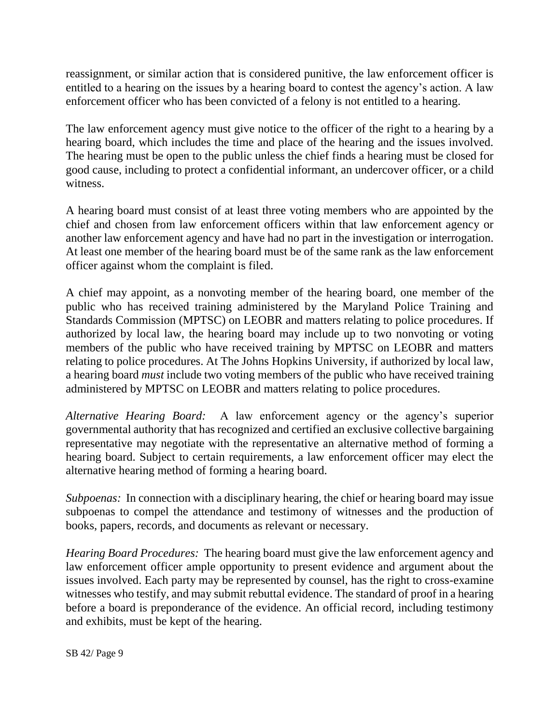reassignment, or similar action that is considered punitive, the law enforcement officer is entitled to a hearing on the issues by a hearing board to contest the agency's action. A law enforcement officer who has been convicted of a felony is not entitled to a hearing.

The law enforcement agency must give notice to the officer of the right to a hearing by a hearing board, which includes the time and place of the hearing and the issues involved. The hearing must be open to the public unless the chief finds a hearing must be closed for good cause, including to protect a confidential informant, an undercover officer, or a child witness.

A hearing board must consist of at least three voting members who are appointed by the chief and chosen from law enforcement officers within that law enforcement agency or another law enforcement agency and have had no part in the investigation or interrogation. At least one member of the hearing board must be of the same rank as the law enforcement officer against whom the complaint is filed.

A chief may appoint, as a nonvoting member of the hearing board, one member of the public who has received training administered by the Maryland Police Training and Standards Commission (MPTSC) on LEOBR and matters relating to police procedures. If authorized by local law, the hearing board may include up to two nonvoting or voting members of the public who have received training by MPTSC on LEOBR and matters relating to police procedures. At The Johns Hopkins University, if authorized by local law, a hearing board *must* include two voting members of the public who have received training administered by MPTSC on LEOBR and matters relating to police procedures.

*Alternative Hearing Board:* A law enforcement agency or the agency's superior governmental authority that has recognized and certified an exclusive collective bargaining representative may negotiate with the representative an alternative method of forming a hearing board. Subject to certain requirements, a law enforcement officer may elect the alternative hearing method of forming a hearing board.

*Subpoenas:* In connection with a disciplinary hearing, the chief or hearing board may issue subpoenas to compel the attendance and testimony of witnesses and the production of books, papers, records, and documents as relevant or necessary.

*Hearing Board Procedures:* The hearing board must give the law enforcement agency and law enforcement officer ample opportunity to present evidence and argument about the issues involved. Each party may be represented by counsel, has the right to cross-examine witnesses who testify, and may submit rebuttal evidence. The standard of proof in a hearing before a board is preponderance of the evidence. An official record, including testimony and exhibits, must be kept of the hearing.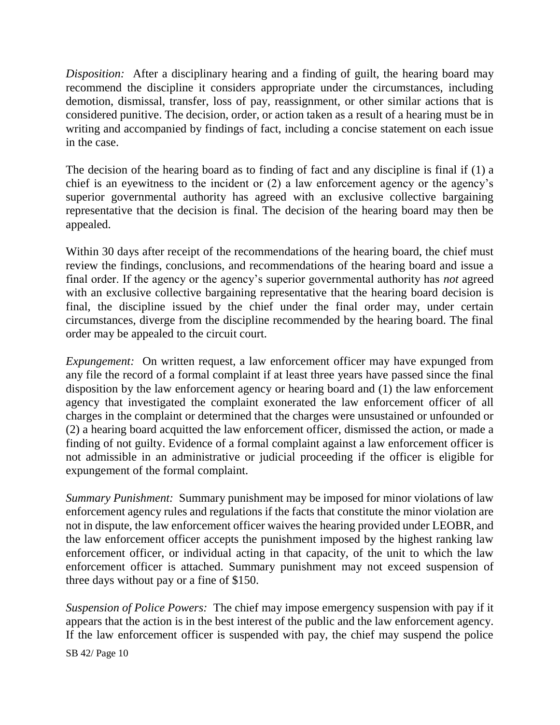*Disposition:* After a disciplinary hearing and a finding of guilt, the hearing board may recommend the discipline it considers appropriate under the circumstances, including demotion, dismissal, transfer, loss of pay, reassignment, or other similar actions that is considered punitive. The decision, order, or action taken as a result of a hearing must be in writing and accompanied by findings of fact, including a concise statement on each issue in the case.

The decision of the hearing board as to finding of fact and any discipline is final if (1) a chief is an eyewitness to the incident or (2) a law enforcement agency or the agency's superior governmental authority has agreed with an exclusive collective bargaining representative that the decision is final. The decision of the hearing board may then be appealed.

Within 30 days after receipt of the recommendations of the hearing board, the chief must review the findings, conclusions, and recommendations of the hearing board and issue a final order. If the agency or the agency's superior governmental authority has *not* agreed with an exclusive collective bargaining representative that the hearing board decision is final, the discipline issued by the chief under the final order may, under certain circumstances, diverge from the discipline recommended by the hearing board. The final order may be appealed to the circuit court.

*Expungement:* On written request, a law enforcement officer may have expunged from any file the record of a formal complaint if at least three years have passed since the final disposition by the law enforcement agency or hearing board and (1) the law enforcement agency that investigated the complaint exonerated the law enforcement officer of all charges in the complaint or determined that the charges were unsustained or unfounded or (2) a hearing board acquitted the law enforcement officer, dismissed the action, or made a finding of not guilty. Evidence of a formal complaint against a law enforcement officer is not admissible in an administrative or judicial proceeding if the officer is eligible for expungement of the formal complaint.

*Summary Punishment:* Summary punishment may be imposed for minor violations of law enforcement agency rules and regulations if the facts that constitute the minor violation are not in dispute, the law enforcement officer waives the hearing provided under LEOBR, and the law enforcement officer accepts the punishment imposed by the highest ranking law enforcement officer, or individual acting in that capacity, of the unit to which the law enforcement officer is attached. Summary punishment may not exceed suspension of three days without pay or a fine of \$150.

*Suspension of Police Powers:* The chief may impose emergency suspension with pay if it appears that the action is in the best interest of the public and the law enforcement agency. If the law enforcement officer is suspended with pay, the chief may suspend the police

SB 42/ Page 10